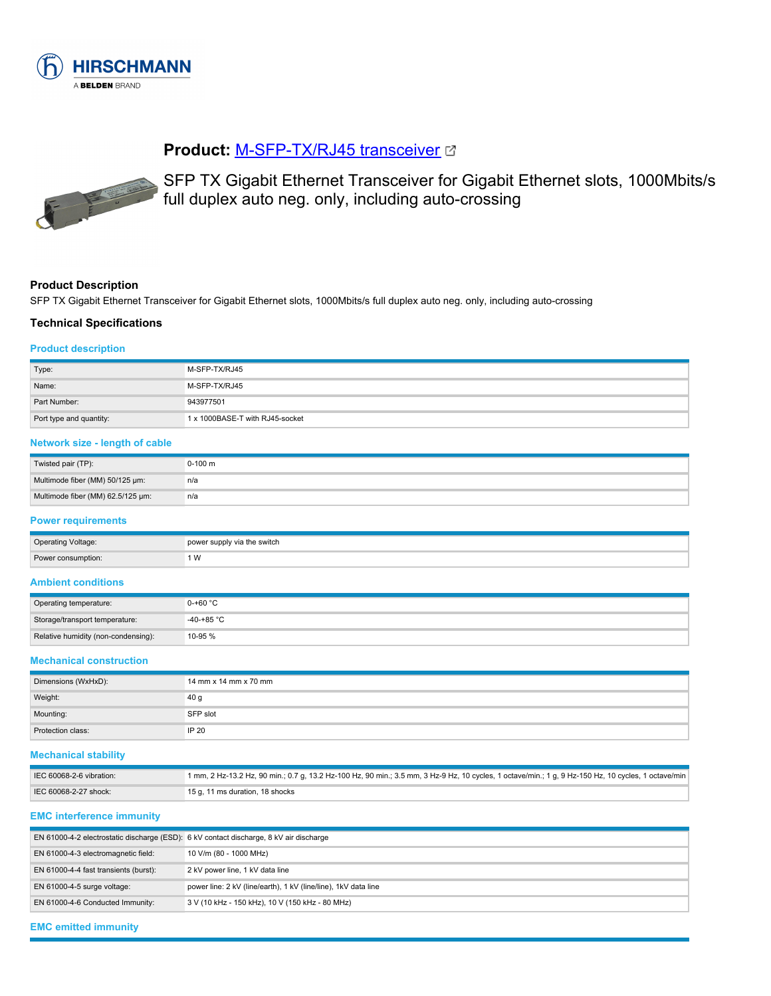

# **Product: [M-SFP-TX/RJ45 transceiver](https://catalog.belden.com/index.cfm?event=pd&p=PF_943977501&tab=downloads) &**



SFP TX Gigabit Ethernet Transceiver for Gigabit Ethernet slots, 1000Mbits/s full duplex auto neg. only, including auto-crossing

#### **Product Description**

SFP TX Gigabit Ethernet Transceiver for Gigabit Ethernet slots, 1000Mbits/s full duplex auto neg. only, including auto-crossing

#### **Technical Specifications**

#### **Product description**

| Type:                   | M-SFP-TX/RJ45                   |
|-------------------------|---------------------------------|
| Name:                   | M-SFP-TX/RJ45                   |
| Part Number:            | 943977501                       |
| Port type and quantity: | 1 x 1000BASE-T with RJ45-socket |

# **Network size - length of cable**

| Twisted pair (TP):                | $0-100$ m |
|-----------------------------------|-----------|
| Multimode fiber (MM) 50/125 µm:   | n/a       |
| Multimode fiber (MM) 62.5/125 µm: | n/a       |

# **Power requirements**

| <b>Operating Voltage:</b> | power supply via the switch |
|---------------------------|-----------------------------|
| Power consumption:        | ∵W                          |

## **Ambient conditions**

| Operating temperature:              | $0-+60$ °C           |
|-------------------------------------|----------------------|
| Storage/transport temperature:      | -40-+85 $^{\circ}$ C |
| Relative humidity (non-condensing): | 10-95 %              |

#### **Mechanical construction**

| Dimensions (WxHxD): | 14 mm x 14 mm x 70 mm |
|---------------------|-----------------------|
| Weight:             | 40 <sub>g</sub>       |
| Mounting:           | SFP slot              |
| Protection class:   | IP 20                 |

#### **Mechanical stability**

| IEC 60068-2-6 vibration: | 1 mm, 2 Hz-13.2 Hz, 90 min.; 0.7 g, 13.2 Hz-100 Hz, 90 min.; 3.5 mm, 3 Hz-9 Hz, 10 cycles, 1 octave/min.; 1 g, 9 Hz-150 Hz, 10 cycles, 1 octave/min |
|--------------------------|-----------------------------------------------------------------------------------------------------------------------------------------------------|
| IEC 60068-2-27 shock:    | 15 g, 11 ms duration, 18 shocks                                                                                                                     |

#### **EMC interference immunity**

| EN 61000-4-2 electrostatic discharge (ESD): 6 kV contact discharge, 8 kV air discharge |                                                                 |
|----------------------------------------------------------------------------------------|-----------------------------------------------------------------|
| EN 61000-4-3 electromagnetic field:                                                    | 10 V/m (80 - 1000 MHz)                                          |
| EN 61000-4-4 fast transients (burst):                                                  | 2 kV power line, 1 kV data line                                 |
| $EN 61000-4-5$ surge voltage:                                                          | power line: 2 kV (line/earth), 1 kV (line/line), 1 kV data line |
| EN 61000-4-6 Conducted Immunity:                                                       | 3 V (10 kHz - 150 kHz), 10 V (150 kHz - 80 MHz)                 |

## **EMC emitted immunity**